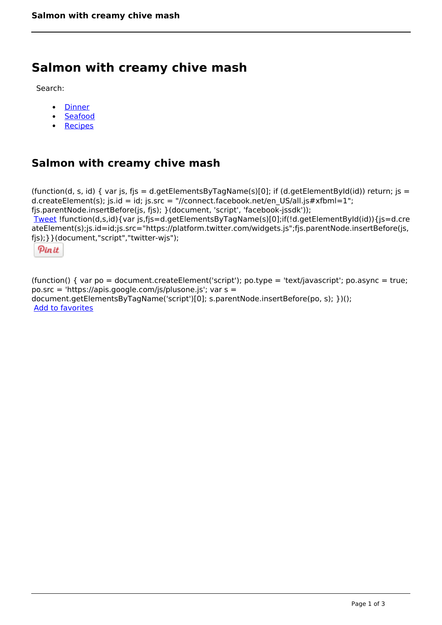# **Salmon with creamy chive mash**

Search:

- **[Dinner](https://www.naturalhealthmag.com.au/nourish/dinner-ideas)**  $\bullet$
- [Seafood](https://www.naturalhealthmag.com.au/nourish/seafood)  $\bullet$
- **[Recipes](https://www.naturalhealthmag.com.au/nourish/recipes)**  $\bullet$

# **Salmon with creamy chive mash**

```
(function(d, s, id) { var js, fjs = d.getElementsByTagName(s)[0]; if (d.getElementById(id)) return; js =
d.createElement(s); js.id = id; js.src = "//connect.facebook.net/en_US/all.js#xfbml=1";
fjs.parentNode.insertBefore(js, fjs); }(document, 'script', 'facebook-jssdk')); 
Tweet !function(d,s,id){var js,fjs=d.getElementsByTagName(s)[0];if(!d.getElementById(id)){js=d.cre
ateElement(s);js.id=id;js.src="https://platform.twitter.com/widgets.js";fjs.parentNode.insertBefore(js,
fjs);}}(document,"script","twitter-wjs"); 
  Pin it
```
(function() { var po = document.createElement('script'); po.type = 'text/javascript'; po.async = true; po.src = 'https://apis.google.com/js/plusone.js'; var s = document.getElementsByTagName('script')[0]; s.parentNode.insertBefore(po, s); })(); Add to favorites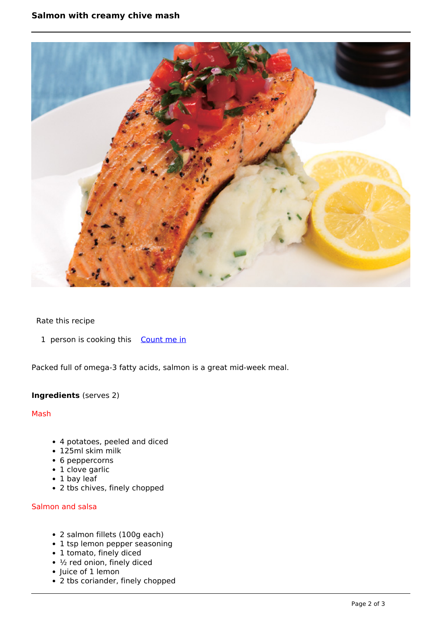

## Rate this recipe

1 person is cooking this [Count me in](https://www.naturalhealthmag.com.au/flag/flag/favorites/548?destination=printpdf%2F548&token=de4107bc2e180fdd0a98074970181c6f)

Packed full of omega-3 fatty acids, salmon is a great mid-week meal.

## **Ingredients** (serves 2)

Mash

- 4 potatoes, peeled and diced
- 125ml skim milk
- 6 peppercorns
- 1 clove garlic
- 1 bay leaf
- 2 tbs chives, finely chopped

#### Salmon and salsa

- 2 salmon fillets (100g each)
- 1 tsp lemon pepper seasoning
- 1 tomato, finely diced
- $\cdot$  ½ red onion, finely diced
- Juice of 1 lemon
- 2 tbs coriander, finely chopped